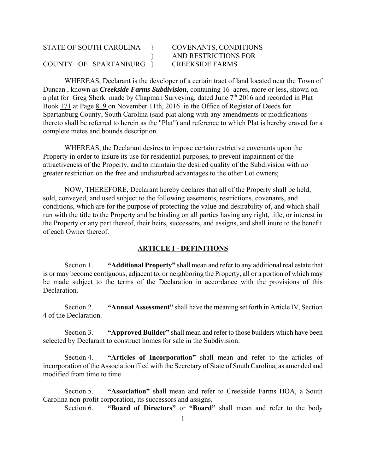# STATE OF SOUTH CAROLINA } COVENANTS, CONDITIONS } AND RESTRICTIONS FOR COUNTY OF SPARTANBURG } CREEKSIDE FARMS

WHEREAS, Declarant is the developer of a certain tract of land located near the Town of Duncan , known as *Creekside Farms Subdivision*, containing 16 acres, more or less, shown on a plat for Greg Sherk made by Chapman Surveying, dated June  $7<sup>th</sup>$  2016 and recorded in Plat Book 171 at Page 819 on November 11th, 2016 in the Office of Register of Deeds for Spartanburg County, South Carolina (said plat along with any amendments or modifications thereto shall be referred to herein as the "Plat") and reference to which Plat is hereby craved for a complete metes and bounds description.

 WHEREAS, the Declarant desires to impose certain restrictive covenants upon the Property in order to insure its use for residential purposes, to prevent impairment of the attractiveness of the Property, and to maintain the desired quality of the Subdivision with no greater restriction on the free and undisturbed advantages to the other Lot owners;

 NOW, THEREFORE, Declarant hereby declares that all of the Property shall be held, sold, conveyed, and used subject to the following easements, restrictions, covenants, and conditions, which are for the purpose of protecting the value and desirability of, and which shall run with the title to the Property and be binding on all parties having any right, title, or interest in the Property or any part thereof, their heirs, successors, and assigns, and shall inure to the benefit of each Owner thereof.

# **ARTICLE I - DEFINITIONS**

Section 1. **"Additional Property"** shall mean and refer to any additional real estate that is or may become contiguous, adjacent to, or neighboring the Property, all or a portion of which may be made subject to the terms of the Declaration in accordance with the provisions of this Declaration.

Section 2. **"Annual Assessment"** shall have the meaning set forth in Article IV, Section 4 of the Declaration.

Section 3. **"Approved Builder"** shall mean and refer to those builders which have been selected by Declarant to construct homes for sale in the Subdivision.

Section 4. **"Articles of Incorporation"** shall mean and refer to the articles of incorporation of the Association filed with the Secretary of State of South Carolina, as amended and modified from time to time.

Section 5. **"Association"** shall mean and refer to Creekside Farms HOA, a South Carolina non-profit corporation, its successors and assigns.

Section 6. **"Board of Directors"** or **"Board"** shall mean and refer to the body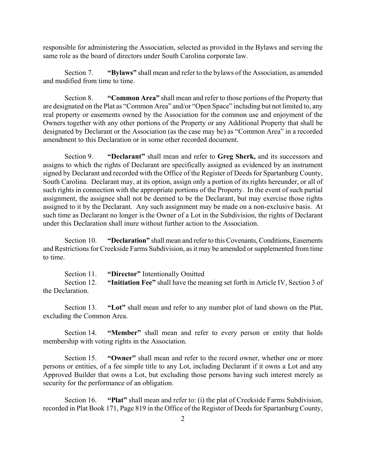responsible for administering the Association, selected as provided in the Bylaws and serving the same role as the board of directors under South Carolina corporate law.

Section 7. **"Bylaws"** shall mean and refer to the bylaws of the Association, as amended and modified from time to time.

Section 8. **"Common Area"** shall mean and refer to those portions of the Property that are designated on the Plat as "Common Area" and/or "Open Space" including but not limited to, any real property or easements owned by the Association for the common use and enjoyment of the Owners together with any other portions of the Property or any Additional Property that shall be designated by Declarant or the Association (as the case may be) as "Common Area" in a recorded amendment to this Declaration or in some other recorded document.

Section 9. **"Declarant"** shall mean and refer to **Greg Sherk,** and its successors and assigns to which the rights of Declarant are specifically assigned as evidenced by an instrument signed by Declarant and recorded with the Office of the Register of Deeds for Spartanburg County, South Carolina. Declarant may, at its option, assign only a portion of its rights hereunder, or all of such rights in connection with the appropriate portions of the Property. In the event of such partial assignment, the assignee shall not be deemed to be the Declarant, but may exercise those rights assigned to it by the Declarant. Any such assignment may be made on a non-exclusive basis. At such time as Declarant no longer is the Owner of a Lot in the Subdivision, the rights of Declarant under this Declaration shall inure without further action to the Association.

Section 10. **"Declaration"** shall mean and refer to this Covenants, Conditions, Easements and Restrictions for Creekside Farms Subdivision, as it may be amended or supplemented from time to time.

Section 11. **"Director"** Intentionally Omitted Section 12. **"Initiation Fee"** shall have the meaning set forth in Article IV, Section 3 of the Declaration.

Section 13. **"Lot"** shall mean and refer to any number plot of land shown on the Plat, excluding the Common Area.

Section 14. **"Member"** shall mean and refer to every person or entity that holds membership with voting rights in the Association.

Section 15. **"Owner"** shall mean and refer to the record owner, whether one or more persons or entities, of a fee simple title to any Lot, including Declarant if it owns a Lot and any Approved Builder that owns a Lot, but excluding those persons having such interest merely as security for the performance of an obligation.

Section 16. **"Plat"** shall mean and refer to: (i) the plat of Creekside Farms Subdivision, recorded in Plat Book 171, Page 819 in the Office of the Register of Deeds for Spartanburg County,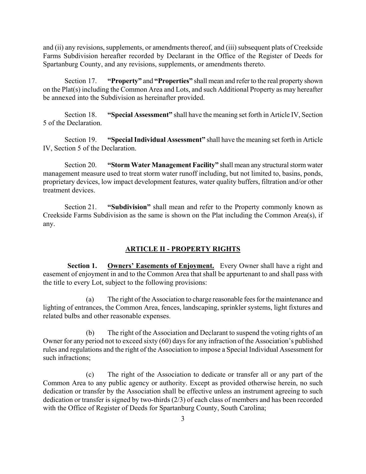and (ii) any revisions, supplements, or amendments thereof, and (iii) subsequent plats of Creekside Farms Subdivision hereafter recorded by Declarant in the Office of the Register of Deeds for Spartanburg County, and any revisions, supplements, or amendments thereto.

Section 17. **"Property"** and **"Properties"** shall mean and refer to the real property shown on the Plat(s) including the Common Area and Lots, and such Additional Property as may hereafter be annexed into the Subdivision as hereinafter provided.

Section 18. **"Special Assessment"** shall have the meaning set forth in Article IV, Section 5 of the Declaration.

Section 19. **"Special Individual Assessment"** shall have the meaning set forth in Article IV, Section 5 of the Declaration.

Section 20. **"Storm Water Management Facility"** shall mean any structural storm water management measure used to treat storm water runoff including, but not limited to, basins, ponds, proprietary devices, low impact development features, water quality buffers, filtration and/or other treatment devices.

Section 21. **"Subdivision"** shall mean and refer to the Property commonly known as Creekside Farms Subdivision as the same is shown on the Plat including the Common Area(s), if any.

### **ARTICLE II - PROPERTY RIGHTS**

**Section 1.** Owners' Easements of Enjoyment. Every Owner shall have a right and easement of enjoyment in and to the Common Area that shall be appurtenant to and shall pass with the title to every Lot, subject to the following provisions:

(a) The right of the Association to charge reasonable fees for the maintenance and lighting of entrances, the Common Area, fences, landscaping, sprinkler systems, light fixtures and related bulbs and other reasonable expenses.

(b) The right of the Association and Declarant to suspend the voting rights of an Owner for any period not to exceed sixty (60) days for any infraction of the Association's published rules and regulations and the right of the Association to impose a Special Individual Assessment for such infractions;

(c) The right of the Association to dedicate or transfer all or any part of the Common Area to any public agency or authority. Except as provided otherwise herein, no such dedication or transfer by the Association shall be effective unless an instrument agreeing to such dedication or transfer is signed by two-thirds (2/3) of each class of members and has been recorded with the Office of Register of Deeds for Spartanburg County, South Carolina;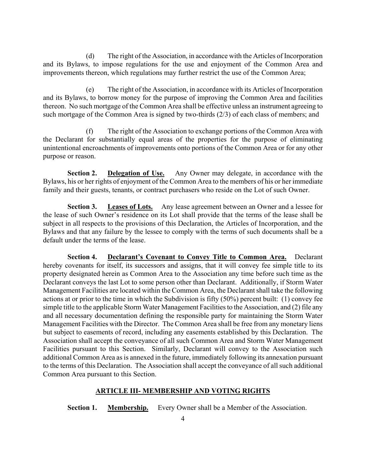(d) The right of the Association, in accordance with the Articles of Incorporation and its Bylaws, to impose regulations for the use and enjoyment of the Common Area and improvements thereon, which regulations may further restrict the use of the Common Area;

(e) The right of the Association, in accordance with its Articles of Incorporation and its Bylaws, to borrow money for the purpose of improving the Common Area and facilities thereon. No such mortgage of the Common Area shall be effective unless an instrument agreeing to such mortgage of the Common Area is signed by two-thirds (2/3) of each class of members; and

(f) The right of the Association to exchange portions of the Common Area with the Declarant for substantially equal areas of the properties for the purpose of eliminating unintentional encroachments of improvements onto portions of the Common Area or for any other purpose or reason.

**Section 2.** Delegation of Use. Any Owner may delegate, in accordance with the Bylaws, his or her rights of enjoyment of the Common Area to the members of his or her immediate family and their guests, tenants, or contract purchasers who reside on the Lot of such Owner.

**Section 3.** Leases of Lots. Any lease agreement between an Owner and a lessee for the lease of such Owner's residence on its Lot shall provide that the terms of the lease shall be subject in all respects to the provisions of this Declaration, the Articles of Incorporation, and the Bylaws and that any failure by the lessee to comply with the terms of such documents shall be a default under the terms of the lease.

**Section 4. Declarant's Covenant to Convey Title to Common Area.** Declarant hereby covenants for itself, its successors and assigns, that it will convey fee simple title to its property designated herein as Common Area to the Association any time before such time as the Declarant conveys the last Lot to some person other than Declarant. Additionally, if Storm Water Management Facilities are located within the Common Area, the Declarant shall take the following actions at or prior to the time in which the Subdivision is fifty (50%) percent built: (1) convey fee simple title to the applicable Storm Water Management Facilities to the Association, and (2) file any and all necessary documentation defining the responsible party for maintaining the Storm Water Management Facilities with the Director. The Common Area shall be free from any monetary liens but subject to easements of record, including any easements established by this Declaration. The Association shall accept the conveyance of all such Common Area and Storm Water Management Facilities pursuant to this Section. Similarly, Declarant will convey to the Association such additional Common Area as is annexed in the future, immediately following its annexation pursuant to the terms of this Declaration. The Association shall accept the conveyance of all such additional Common Area pursuant to this Section.

### **ARTICLE III- MEMBERSHIP AND VOTING RIGHTS**

**Section 1.** Membership. Every Owner shall be a Member of the Association.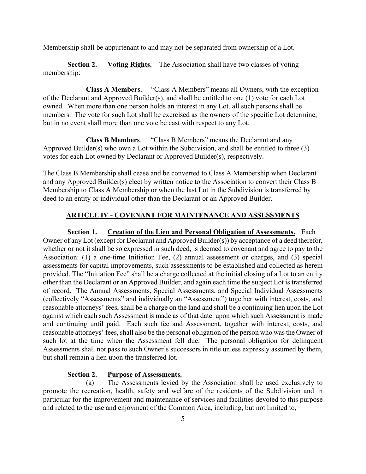Membership shall be appurtenant to and may not be separated from ownership of a Lot.

**Section 2. Voting Rights.** The Association shall have two classes of voting membership:

 **Class A Members.** "Class A Members" means all Owners, with the exception of the Declarant and Approved Builder(s), and shall be entitled to one (1) vote for each Lot owned. When more than one person holds an interest in any Lot, all such persons shall be members. The vote for such Lot shall be exercised as the owners of the specific Lot determine, but in no event shall more than one vote be cast with respect to any Lot.

 **Class B Members**. "Class B Members" means the Declarant and any Approved Builder(s) who own a Lot within the Subdivision, and shall be entitled to three (3) votes for each Lot owned by Declarant or Approved Builder(s), respectively.

The Class B Membership shall cease and be converted to Class A Membership when Declarant and any Approved Builder(s) elect by written notice to the Association to convert their Class B Membership to Class A Membership or when the last Lot in the Subdivision is transferred by deed to an entity or individual other than the Declarant or an Approved Builder.

# **ARTICLE IV - COVENANT FOR MAINTENANCE AND ASSESSMENTS**

**Section 1. Creation of the Lien and Personal Obligation of Assessments.** Each Owner of any Lot (except for Declarant and Approved Builder(s)) by acceptance of a deed therefor, whether or not it shall be so expressed in such deed, is deemed to covenant and agree to pay to the Association: (1) a one-time Initiation Fee, (2) annual assessment or charges, and (3) special assessments for capital improvements, such assessments to be established and collected as herein provided. The "Initiation Fee" shall be a charge collected at the initial closing of a Lot to an entity other than the Declarant or an Approved Builder, and again each time the subject Lot is transferred of record. The Annual Assessments, Special Assessments, and Special Individual Assessments (collectively "Assessments" and individually an "Assessment") together with interest, costs, and reasonable attorneys' fees, shall be a charge on the land and shall be a continuing lien upon the Lot against which each such Assessment is made as of that date upon which such Assessment is made and continuing until paid. Each such fee and Assessment, together with interest, costs, and reasonable attorneys' fees, shall also be the personal obligation of the person who was the Owner of such lot at the time when the Assessment fell due. The personal obligation for delinquent Assessments shall not pass to such Owner's successors in title unless expressly assumed by them, but shall remain a lien upon the transferred lot.

#### **Section 2. Purpose of Assessments.**

(a) The Assessments levied by the Association shall be used exclusively to promote the recreation, health, safety and welfare of the residents of the Subdivision and in particular for the improvement and maintenance of services and facilities devoted to this purpose and related to the use and enjoyment of the Common Area, including, but not limited to,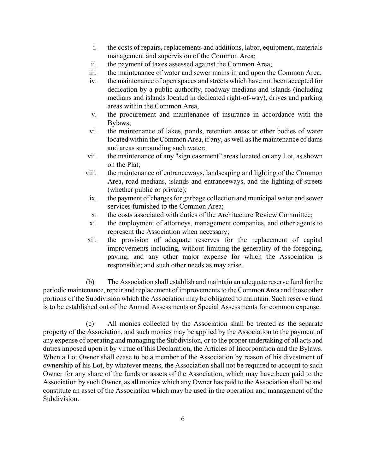- i. the costs of repairs, replacements and additions, labor, equipment, materials management and supervision of the Common Area;
- ii. the payment of taxes assessed against the Common Area;
- iii. the maintenance of water and sewer mains in and upon the Common Area;
- iv. the maintenance of open spaces and streets which have not been accepted for dedication by a public authority, roadway medians and islands (including medians and islands located in dedicated right-of-way), drives and parking areas within the Common Area,
- v. the procurement and maintenance of insurance in accordance with the Bylaws;
- vi. the maintenance of lakes, ponds, retention areas or other bodies of water located within the Common Area, if any, as well as the maintenance of dams and areas surrounding such water;
- vii. the maintenance of any "sign easement" areas located on any Lot, as shown on the Plat;
- viii. the maintenance of entranceways, landscaping and lighting of the Common Area, road medians, islands and entranceways, and the lighting of streets (whether public or private);
- ix. the payment of charges for garbage collection and municipal water and sewer services furnished to the Common Area;
- x. the costs associated with duties of the Architecture Review Committee;
- xi. the employment of attorneys, management companies, and other agents to represent the Association when necessary;
- xii. the provision of adequate reserves for the replacement of capital improvements including, without limiting the generality of the foregoing, paving, and any other major expense for which the Association is responsible; and such other needs as may arise.

(b) The Association shall establish and maintain an adequate reserve fund for the periodic maintenance, repair and replacement of improvements to the Common Area and those other portions of the Subdivision which the Association may be obligated to maintain. Such reserve fund is to be established out of the Annual Assessments or Special Assessments for common expense.

(c) All monies collected by the Association shall be treated as the separate property of the Association, and such monies may be applied by the Association to the payment of any expense of operating and managing the Subdivision, or to the proper undertaking of all acts and duties imposed upon it by virtue of this Declaration, the Articles of Incorporation and the Bylaws. When a Lot Owner shall cease to be a member of the Association by reason of his divestment of ownership of his Lot, by whatever means, the Association shall not be required to account to such Owner for any share of the funds or assets of the Association, which may have been paid to the Association by such Owner, as all monies which any Owner has paid to the Association shall be and constitute an asset of the Association which may be used in the operation and management of the Subdivision.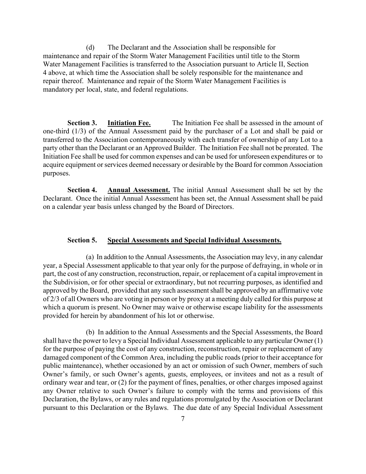(d) The Declarant and the Association shall be responsible for maintenance and repair of the Storm Water Management Facilities until title to the Storm Water Management Facilities is transferred to the Association pursuant to Article II, Section 4 above, at which time the Association shall be solely responsible for the maintenance and repair thereof. Maintenance and repair of the Storm Water Management Facilities is mandatory per local, state, and federal regulations.

**Section 3. Initiation Fee.** The Initiation Fee shall be assessed in the amount of one-third (1/3) of the Annual Assessment paid by the purchaser of a Lot and shall be paid or transferred to the Association contemporaneously with each transfer of ownership of any Lot to a party other than the Declarant or an Approved Builder. The Initiation Fee shall not be prorated. The Initiation Fee shall be used for common expenses and can be used for unforeseen expenditures or to acquire equipment or services deemed necessary or desirable by the Board for common Association purposes.

**Section 4. Annual Assessment.** The initial Annual Assessment shall be set by the Declarant. Once the initial Annual Assessment has been set, the Annual Assessment shall be paid on a calendar year basis unless changed by the Board of Directors.

#### **Section 5. Special Assessments and Special Individual Assessments.**

 (a) In addition to the Annual Assessments, the Association may levy, in any calendar year, a Special Assessment applicable to that year only for the purpose of defraying, in whole or in part, the cost of any construction, reconstruction, repair, or replacement of a capital improvement in the Subdivision, or for other special or extraordinary, but not recurring purposes, as identified and approved by the Board, provided that any such assessment shall be approved by an affirmative vote of 2/3 of all Owners who are voting in person or by proxy at a meeting duly called for this purpose at which a quorum is present. No Owner may waive or otherwise escape liability for the assessments provided for herein by abandonment of his lot or otherwise.

 (b) In addition to the Annual Assessments and the Special Assessments, the Board shall have the power to levy a Special Individual Assessment applicable to any particular Owner (1) for the purpose of paying the cost of any construction, reconstruction, repair or replacement of any damaged component of the Common Area, including the public roads (prior to their acceptance for public maintenance), whether occasioned by an act or omission of such Owner, members of such Owner's family, or such Owner's agents, guests, employees, or invitees and not as a result of ordinary wear and tear, or (2) for the payment of fines, penalties, or other charges imposed against any Owner relative to such Owner's failure to comply with the terms and provisions of this Declaration, the Bylaws, or any rules and regulations promulgated by the Association or Declarant pursuant to this Declaration or the Bylaws. The due date of any Special Individual Assessment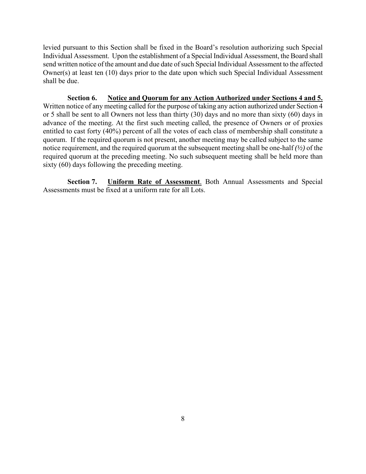levied pursuant to this Section shall be fixed in the Board's resolution authorizing such Special Individual Assessment. Upon the establishment of a Special Individual Assessment, the Board shall send written notice of the amount and due date of such Special Individual Assessment to the affected Owner(s) at least ten (10) days prior to the date upon which such Special Individual Assessment shall be due.

**Section 6. Notice and Quorum for any Action Authorized under Sections 4 and 5.** Written notice of any meeting called for the purpose of taking any action authorized under Section 4 or 5 shall be sent to all Owners not less than thirty (30) days and no more than sixty (60) days in advance of the meeting. At the first such meeting called, the presence of Owners or of proxies entitled to cast forty (40%) percent of all the votes of each class of membership shall constitute a quorum. If the required quorum is not present, another meeting may be called subject to the same notice requirement, and the required quorum at the subsequent meeting shall be one-half *(½)* of the required quorum at the preceding meeting. No such subsequent meeting shall be held more than sixty (60) days following the preceding meeting.

**Section 7. Uniform Rate of Assessment**. Both Annual Assessments and Special Assessments must be fixed at a uniform rate for all Lots.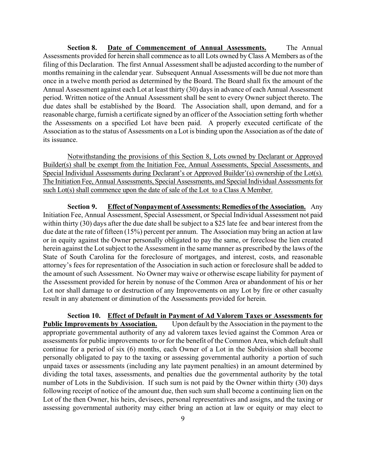**Section 8. Date of Commencement of Annual Assessments.** The Annual Assessments provided for herein shall commence as to all Lots owned by Class A Members as of the filing of this Declaration. The first Annual Assessment shall be adjusted according to the number of months remaining in the calendar year. Subsequent Annual Assessments will be due not more than once in a twelve month period as determined by the Board. The Board shall fix the amount of the Annual Assessment against each Lot at least thirty (30) days in advance of each Annual Assessment period. Written notice of the Annual Assessment shall be sent to every Owner subject thereto. The due dates shall be established by the Board. The Association shall, upon demand, and for a reasonable charge, furnish a certificate signed by an officer of the Association setting forth whether the Assessments on a specified Lot have been paid. A properly executed certificate of the Association as to the status of Assessments on a Lot is binding upon the Association as of the date of its issuance.

 Notwithstanding the provisions of this Section 8, Lots owned by Declarant or Approved Builder(s) shall be exempt from the Initiation Fee, Annual Assessments, Special Assessments, and Special Individual Assessments during Declarant's or Approved Builder'(s) ownership of the Lot(s). The Initiation Fee, Annual Assessments, Special Assessments, and Special Individual Assessments for such Lot(s) shall commence upon the date of sale of the Lot to a Class A Member.

**Section 9. Effect of Nonpayment of Assessments: Remedies of the Association.** Any Initiation Fee, Annual Assessment, Special Assessment, or Special Individual Assessment not paid within thirty (30) days after the due date shall be subject to a \$25 late fee and bear interest from the due date at the rate of fifteen (15%) percent per annum. The Association may bring an action at law or in equity against the Owner personally obligated to pay the same, or foreclose the lien created herein against the Lot subject to the Assessment in the same manner as prescribed by the laws of the State of South Carolina for the foreclosure of mortgages, and interest, costs, and reasonable attorney's fees for representation of the Association in such action or foreclosure shall be added to the amount of such Assessment. No Owner may waive or otherwise escape liability for payment of the Assessment provided for herein by nonuse of the Common Area or abandonment of his or her Lot nor shall damage to or destruction of any Improvements on any Lot by fire or other casualty result in any abatement or diminution of the Assessments provided for herein.

**Section 10. Effect of Default in Payment of Ad Valorem Taxes or Assessments for Public Improvements by Association.** Upon default by the Association in the payment to the appropriate governmental authority of any ad valorem taxes levied against the Common Area or assessments for public improvements to or for the benefit of the Common Area, which default shall continue for a period of six (6) months, each Owner of a Lot in the Subdivision shall become personally obligated to pay to the taxing or assessing governmental authority a portion of such unpaid taxes or assessments (including any late payment penalties) in an amount determined by dividing the total taxes, assessments, and penalties due the governmental authority by the total number of Lots in the Subdivision. If such sum is not paid by the Owner within thirty (30) days following receipt of notice of the amount due, then such sum shall become a continuing lien on the Lot of the then Owner, his heirs, devisees, personal representatives and assigns, and the taxing or assessing governmental authority may either bring an action at law or equity or may elect to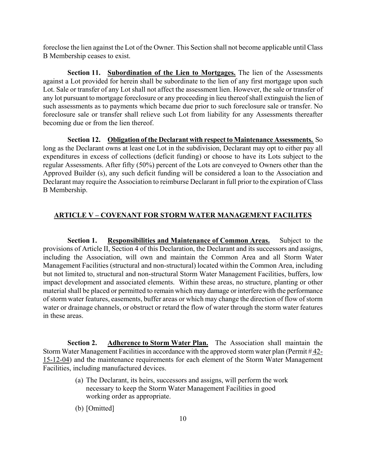foreclose the lien against the Lot of the Owner. This Section shall not become applicable until Class B Membership ceases to exist.

**Section 11. Subordination of the Lien to Mortgages.** The lien of the Assessments against a Lot provided for herein shall be subordinate to the lien of any first mortgage upon such Lot. Sale or transfer of any Lot shall not affect the assessment lien. However, the sale or transfer of any lot pursuant to mortgage foreclosure or any proceeding in lieu thereof shall extinguish the lien of such assessments as to payments which became due prior to such foreclosure sale or transfer. No foreclosure sale or transfer shall relieve such Lot from liability for any Assessments thereafter becoming due or from the lien thereof.

**Section 12. Obligation of the Declarant with respect to Maintenance Assessments.** So long as the Declarant owns at least one Lot in the subdivision, Declarant may opt to either pay all expenditures in excess of collections (deficit funding) or choose to have its Lots subject to the regular Assessments. After fifty (50%) percent of the Lots are conveyed to Owners other than the Approved Builder (s), any such deficit funding will be considered a loan to the Association and Declarant may require the Association to reimburse Declarant in full prior to the expiration of Class B Membership.

# **ARTICLE V – COVENANT FOR STORM WATER MANAGEMENT FACILITES**

 **Section 1. Responsibilities and Maintenance of Common Areas.** Subject to the provisions of Article II, Section 4 of this Declaration, the Declarant and its successors and assigns, including the Association, will own and maintain the Common Area and all Storm Water Management Facilities (structural and non-structural) located within the Common Area, including but not limited to, structural and non-structural Storm Water Management Facilities, buffers, low impact development and associated elements. Within these areas, no structure, planting or other material shall be placed or permitted to remain which may damage or interfere with the performance of storm water features, easements, buffer areas or which may change the direction of flow of storm water or drainage channels, or obstruct or retard the flow of water through the storm water features in these areas.

**Section 2.** Adherence to Storm Water Plan. The Association shall maintain the Storm Water Management Facilities in accordance with the approved storm water plan (Permit # 42- 15-12-04) and the maintenance requirements for each element of the Storm Water Management Facilities, including manufactured devices.

- (a) The Declarant, its heirs, successors and assigns, will perform the work necessary to keep the Storm Water Management Facilities in good working order as appropriate.
- (b) [Omitted]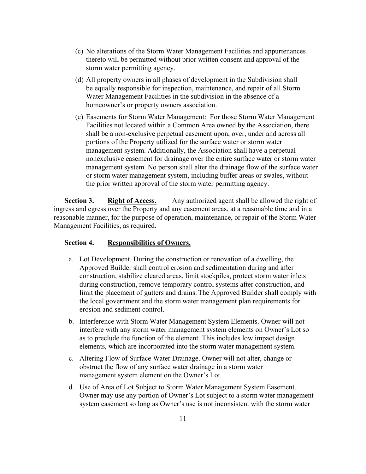- (c) No alterations of the Storm Water Management Facilities and appurtenances thereto will be permitted without prior written consent and approval of the storm water permitting agency.
- (d) All property owners in all phases of development in the Subdivision shall be equally responsible for inspection, maintenance, and repair of all Storm Water Management Facilities in the subdivision in the absence of a homeowner's or property owners association.
- (e) Easements for Storm Water Management: For those Storm Water Management Facilities not located within a Common Area owned by the Association, there shall be a non-exclusive perpetual easement upon, over, under and across all portions of the Property utilized for the surface water or storm water management system. Additionally, the Association shall have a perpetual nonexclusive easement for drainage over the entire surface water or storm water management system. No person shall alter the drainage flow of the surface water or storm water management system, including buffer areas or swales, without the prior written approval of the storm water permitting agency.

**Section 3.** Right of Access. Any authorized agent shall be allowed the right of ingress and egress over the Property and any easement areas, at a reasonable time and in a reasonable manner, for the purpose of operation, maintenance, or repair of the Storm Water Management Facilities, as required.

# **Section 4. Responsibilities of Owners.**

- a. Lot Development. During the construction or renovation of a dwelling, the Approved Builder shall control erosion and sedimentation during and after construction, stabilize cleared areas, limit stockpiles, protect storm water inlets during construction, remove temporary control systems after construction, and limit the placement of gutters and drains. The Approved Builder shall comply with the local government and the storm water management plan requirements for erosion and sediment control.
- b. Interference with Storm Water Management System Elements. Owner will not interfere with any storm water management system elements on Owner's Lot so as to preclude the function of the element. This includes low impact design elements, which are incorporated into the storm water management system.
- c. Altering Flow of Surface Water Drainage. Owner will not alter, change or obstruct the flow of any surface water drainage in a storm water management system element on the Owner's Lot.
- d. Use of Area of Lot Subject to Storm Water Management System Easement. Owner may use any portion of Owner's Lot subject to a storm water management system easement so long as Owner's use is not inconsistent with the storm water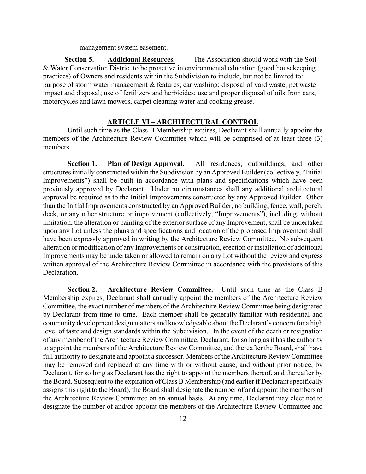management system easement.

**Section 5. Additional Resources.** The Association should work with the Soil & Water Conservation District to be proactive in environmental education (good housekeeping practices) of Owners and residents within the Subdivision to include, but not be limited to: purpose of storm water management & features; car washing; disposal of yard waste; pet waste impact and disposal; use of fertilizers and herbicides; use and proper disposal of oils from cars, motorcycles and lawn mowers, carpet cleaning water and cooking grease.

#### **ARTICLE VI – ARCHITECTURAL CONTROL**

Until such time as the Class B Membership expires, Declarant shall annually appoint the members of the Architecture Review Committee which will be comprised of at least three (3) members.

**Section 1. Plan of Design Approval.** All residences, outbuildings, and other structures initially constructed within the Subdivision by an Approved Builder (collectively, "Initial Improvements") shall be built in accordance with plans and specifications which have been previously approved by Declarant. Under no circumstances shall any additional architectural approval be required as to the Initial Improvements constructed by any Approved Builder. Other than the Initial Improvements constructed by an Approved Builder, no building, fence, wall, porch, deck, or any other structure or improvement (collectively, "Improvements"), including, without limitation, the alteration or painting of the exterior surface of any Improvement, shall be undertaken upon any Lot unless the plans and specifications and location of the proposed Improvement shall have been expressly approved in writing by the Architecture Review Committee. No subsequent alteration or modification of any Improvements or construction, erection or installation of additional Improvements may be undertaken or allowed to remain on any Lot without the review and express written approval of the Architecture Review Committee in accordance with the provisions of this Declaration.

Section 2. Architecture Review Committee. Until such time as the Class B Membership expires, Declarant shall annually appoint the members of the Architecture Review Committee, the exact number of members of the Architecture Review Committee being designated by Declarant from time to time. Each member shall be generally familiar with residential and community development design matters and knowledgeable about the Declarant's concern for a high level of taste and design standards within the Subdivision. In the event of the death or resignation of any member of the Architecture Review Committee, Declarant, for so long as it has the authority to appoint the members of the Architecture Review Committee, and thereafter the Board, shall have full authority to designate and appoint a successor. Members of the Architecture Review Committee may be removed and replaced at any time with or without cause, and without prior notice, by Declarant, for so long as Declarant has the right to appoint the members thereof, and thereafter by the Board. Subsequent to the expiration of Class B Membership (and earlier if Declarant specifically assigns this right to the Board), the Board shall designate the number of and appoint the members of the Architecture Review Committee on an annual basis. At any time, Declarant may elect not to designate the number of and/or appoint the members of the Architecture Review Committee and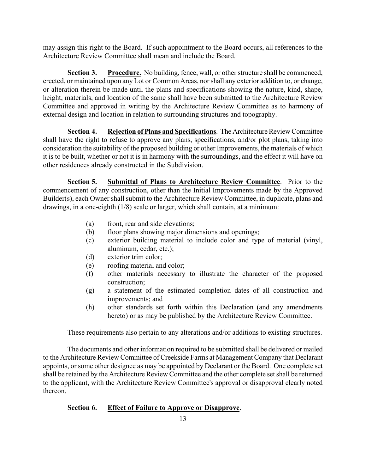may assign this right to the Board. If such appointment to the Board occurs, all references to the Architecture Review Committee shall mean and include the Board.

**Section 3. Procedure.** No building, fence, wall, or other structure shall be commenced, erected, or maintained upon any Lot or Common Areas, nor shall any exterior addition to, or change, or alteration therein be made until the plans and specifications showing the nature, kind, shape, height, materials, and location of the same shall have been submitted to the Architecture Review Committee and approved in writing by the Architecture Review Committee as to harmony of external design and location in relation to surrounding structures and topography.

**Section 4. Rejection of Plans and Specifications**. The Architecture Review Committee shall have the right to refuse to approve any plans, specifications, and/or plot plans, taking into consideration the suitability of the proposed building or other Improvements, the materials of which it is to be built, whether or not it is in harmony with the surroundings, and the effect it will have on other residences already constructed in the Subdivision.

**Section 5. Submittal of Plans to Architecture Review Committee**. Prior to the commencement of any construction, other than the Initial Improvements made by the Approved Builder(s), each Owner shall submit to the Architecture Review Committee, in duplicate, plans and drawings, in a one-eighth (1/8) scale or larger, which shall contain, at a minimum:

- (a) front, rear and side elevations;
- (b) floor plans showing major dimensions and openings;
- (c) exterior building material to include color and type of material (vinyl, aluminum, cedar, etc.);
- (d) exterior trim color;
- (e) roofing material and color;
- (f) other materials necessary to illustrate the character of the proposed construction;
- (g) a statement of the estimated completion dates of all construction and improvements; and
- (h) other standards set forth within this Declaration (and any amendments hereto) or as may be published by the Architecture Review Committee.

These requirements also pertain to any alterations and/or additions to existing structures.

The documents and other information required to be submitted shall be delivered or mailed to the Architecture Review Committee of Creekside Farms at Management Company that Declarant appoints, or some other designee as may be appointed by Declarant or the Board. One complete set shall be retained by the Architecture Review Committee and the other complete set shall be returned to the applicant, with the Architecture Review Committee's approval or disapproval clearly noted thereon.

# **Section 6. Effect of Failure to Approve or Disapprove**.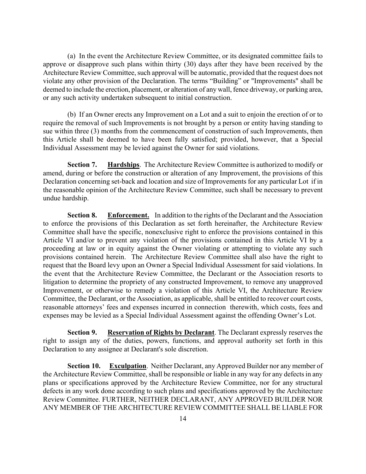(a) In the event the Architecture Review Committee, or its designated committee fails to approve or disapprove such plans within thirty (30) days after they have been received by the Architecture Review Committee, such approval will be automatic, provided that the request does not violate any other provision of the Declaration. The terms "Building" or "Improvements" shall be deemed to include the erection, placement, or alteration of any wall, fence driveway, or parking area, or any such activity undertaken subsequent to initial construction.

(b) If an Owner erects any Improvement on a Lot and a suit to enjoin the erection of or to require the removal of such Improvements is not brought by a person or entity having standing to sue within three (3) months from the commencement of construction of such Improvements, then this Article shall be deemed to have been fully satisfied; provided, however, that a Special Individual Assessment may be levied against the Owner for said violations.

**Section 7. Hardships**. The Architecture Review Committee is authorized to modify or amend, during or before the construction or alteration of any Improvement, the provisions of this Declaration concerning set-back and location and size of Improvements for any particular Lot if in the reasonable opinion of the Architecture Review Committee, such shall be necessary to prevent undue hardship.

**Section 8. Enforcement.** In addition to the rights of the Declarant and the Association to enforce the provisions of this Declaration as set forth hereinafter, the Architecture Review Committee shall have the specific, nonexclusive right to enforce the provisions contained in this Article VI and/or to prevent any violation of the provisions contained in this Article VI by a proceeding at law or in equity against the Owner violating or attempting to violate any such provisions contained herein. The Architecture Review Committee shall also have the right to request that the Board levy upon an Owner a Special Individual Assessment for said violations. In the event that the Architecture Review Committee, the Declarant or the Association resorts to litigation to determine the propriety of any constructed Improvement, to remove any unapproved Improvement, or otherwise to remedy a violation of this Article VI, the Architecture Review Committee, the Declarant, or the Association, as applicable, shall be entitled to recover court costs, reasonable attorneys' fees and expenses incurred in connection therewith, which costs, fees and expenses may be levied as a Special Individual Assessment against the offending Owner's Lot.

**Section 9. Reservation of Rights by Declarant**. The Declarant expressly reserves the right to assign any of the duties, powers, functions, and approval authority set forth in this Declaration to any assignee at Declarant's sole discretion.

 **Section 10. Exculpation**. Neither Declarant, any Approved Builder nor any member of the Architecture Review Committee, shall be responsible or liable in any way for any defects in any plans or specifications approved by the Architecture Review Committee, nor for any structural defects in any work done according to such plans and specifications approved by the Architecture Review Committee. FURTHER, NEITHER DECLARANT, ANY APPROVED BUILDER NOR ANY MEMBER OF THE ARCHITECTURE REVIEW COMMITTEE SHALL BE LIABLE FOR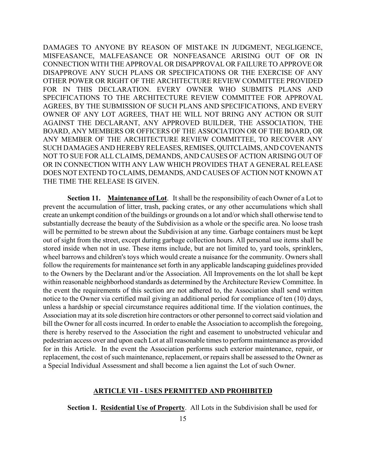DAMAGES TO ANYONE BY REASON OF MISTAKE IN JUDGMENT, NEGLIGENCE, MISFEASANCE, MALFEASANCE OR NONFEASANCE ARISING OUT OF OR IN CONNECTION WITH THE APPROVAL OR DISAPPROVAL OR FAILURE TO APPROVE OR DISAPPROVE ANY SUCH PLANS OR SPECIFICATIONS OR THE EXERCISE OF ANY OTHER POWER OR RIGHT OF THE ARCHITECTURE REVIEW COMMITTEE PROVIDED FOR IN THIS DECLARATION. EVERY OWNER WHO SUBMITS PLANS AND SPECIFICATIONS TO THE ARCHITECTURE REVIEW COMMITTEE FOR APPROVAL AGREES, BY THE SUBMISSION OF SUCH PLANS AND SPECIFICATIONS, AND EVERY OWNER OF ANY LOT AGREES, THAT HE WILL NOT BRING ANY ACTION OR SUIT AGAINST THE DECLARANT, ANY APPROVED BUILDER, THE ASSOCIATION, THE BOARD, ANY MEMBERS OR OFFICERS OF THE ASSOCIATION OR OF THE BOARD, OR ANY MEMBER OF THE ARCHITECTURE REVIEW COMMITTEE, TO RECOVER ANY SUCH DAMAGES AND HEREBY RELEASES, REMISES, QUITCLAIMS, AND COVENANTS NOT TO SUE FOR ALL CLAIMS, DEMANDS, AND CAUSES OF ACTION ARISING OUT OF OR IN CONNECTION WITH ANY LAW WHICH PROVIDES THAT A GENERAL RELEASE DOES NOT EXTEND TO CLAIMS, DEMANDS, AND CAUSES OF ACTION NOT KNOWN AT THE TIME THE RELEASE IS GIVEN.

**Section 11. Maintenance of Lot**. It shall be the responsibility of each Owner of a Lot to prevent the accumulation of litter, trash, packing crates, or any other accumulations which shall create an unkempt condition of the buildings or grounds on a lot and/or which shall otherwise tend to substantially decrease the beauty of the Subdivision as a whole or the specific area. No loose trash will be permitted to be strewn about the Subdivision at any time. Garbage containers must be kept out of sight from the street, except during garbage collection hours. All personal use items shall be stored inside when not in use. These items include, but are not limited to, yard tools, sprinklers, wheel barrows and children's toys which would create a nuisance for the community. Owners shall follow the requirements for maintenance set forth in any applicable landscaping guidelines provided to the Owners by the Declarant and/or the Association. All Improvements on the lot shall be kept within reasonable neighborhood standards as determined by the Architecture Review Committee. In the event the requirements of this section are not adhered to, the Association shall send written notice to the Owner via certified mail giving an additional period for compliance of ten (10) days, unless a hardship or special circumstance requires additional time. If the violation continues, the Association may at its sole discretion hire contractors or other personnel to correct said violation and bill the Owner for all costs incurred. In order to enable the Association to accomplish the foregoing, there is hereby reserved to the Association the right and easement to unobstructed vehicular and pedestrian access over and upon each Lot at all reasonable times to perform maintenance as provided for in this Article. In the event the Association performs such exterior maintenance, repair, or replacement, the cost of such maintenance, replacement, or repairs shall be assessed to the Owner as a Special Individual Assessment and shall become a lien against the Lot of such Owner.

#### **ARTICLE VII - USES PERMITTED AND PROHIBITED**

**Section 1. Residential Use of Property**. All Lots in the Subdivision shall be used for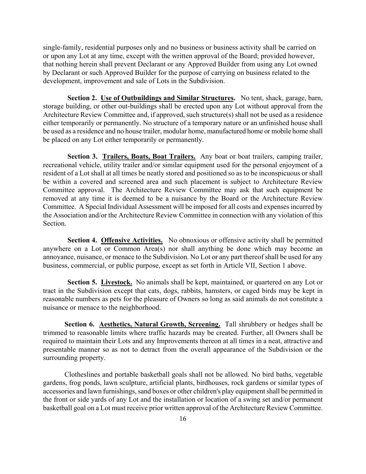single-family, residential purposes only and no business or business activity shall be carried on or upon any Lot at any time, except with the written approval of the Board; provided however, that nothing herein shall prevent Declarant or any Approved Builder from using any Lot owned by Declarant or such Approved Builder for the purpose of carrying on business related to the development, improvement and sale of Lots in the Subdivision.

**Section 2. Use of Outbuildings and Similar Structures.** No tent, shack, garage, barn, storage building, or other out-buildings shall be erected upon any Lot without approval from the Architecture Review Committee and, if approved, such structure(s) shall not be used as a residence either temporarily or permanently. No structure of a temporary nature or an unfinished house shall be used as a residence and no house trailer, modular home, manufactured home or mobile home shall be placed on any Lot either temporarily or permanently.

Section 3. Trailers, Boats, Boat Trailers. Any boat or boat trailers, camping trailer, recreational vehicle, utility trailer and/or similar equipment used for the personal enjoyment of a resident of a Lot shall at all times be neatly stored and positioned so as to be inconspicuous or shall be within a covered and screened area and such placement is subject to Architecture Review Committee approval. The Architecture Review Committee may ask that such equipment be removed at any time it is deemed to be a nuisance by the Board or the Architecture Review Committee. A Special Individual Assessment will be imposed for all costs and expenses incurred by the Association and/or the Architecture Review Committee in connection with any violation of this Section.

**Section 4. Offensive Activities.** No obnoxious or offensive activity shall be permitted anywhere on a Lot or Common Area(s) nor shall anything be done which may become an annoyance, nuisance, or menace to the Subdivision. No Lot or any part thereof shall be used for any business, commercial, or public purpose, except as set forth in Article VII, Section 1 above.

Section 5. Livestock. No animals shall be kept, maintained, or quartered on any Lot or tract in the Subdivision except that cats, dogs, rabbits, hamsters, or caged birds may be kept in reasonable numbers as pets for the pleasure of Owners so long as said animals do not constitute a nuisance or menace to the neighborhood.

**Section 6. Aesthetics, Natural Growth, Screening.** Tall shrubbery or hedges shall be trimmed to reasonable limits where traffic hazards may be created. Further, all Owners shall be required to maintain their Lots and any Improvements thereon at all times in a neat, attractive and presentable manner so as not to detract from the overall appearance of the Subdivision or the surrounding property.

Clotheslines and portable basketball goals shall not be allowed. No bird baths, vegetable gardens, frog ponds, lawn sculpture, artificial plants, birdhouses, rock gardens or similar types of accessories and lawn furnishings, sand boxes or other children's play equipment shall be permitted in the front or side yards of any Lot and the installation or location of a swing set and/or permanent basketball goal on a Lot must receive prior written approval of the Architecture Review Committee.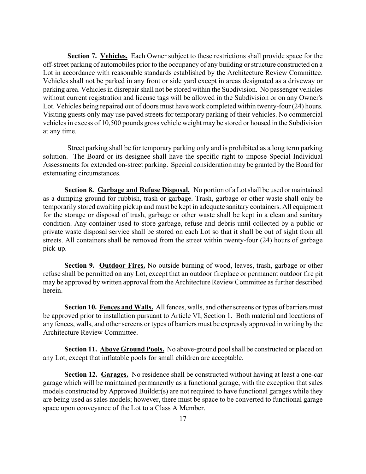**Section 7. Vehicles.** Each Owner subject to these restrictions shall provide space for the off-street parking of automobiles prior to the occupancy of any building or structure constructed on a Lot in accordance with reasonable standards established by the Architecture Review Committee. Vehicles shall not be parked in any front or side yard except in areas designated as a driveway or parking area. Vehicles in disrepair shall not be stored within the Subdivision. No passenger vehicles without current registration and license tags will be allowed in the Subdivision or on any Owner's Lot. Vehicles being repaired out of doors must have work completed within twenty-four (24) hours. Visiting guests only may use paved streets for temporary parking of their vehicles. No commercial vehicles in excess of 10,500 pounds gross vehicle weight may be stored or housed in the Subdivision at any time.

Street parking shall be for temporary parking only and is prohibited as a long term parking solution. The Board or its designee shall have the specific right to impose Special Individual Assessments for extended on-street parking. Special consideration may be granted by the Board for extenuating circumstances.

**Section 8. Garbage and Refuse Disposal.** No portion of a Lot shall be used or maintained as a dumping ground for rubbish, trash or garbage. Trash, garbage or other waste shall only be temporarily stored awaiting pickup and must be kept in adequate sanitary containers. All equipment for the storage or disposal of trash, garbage or other waste shall be kept in a clean and sanitary condition. Any container used to store garbage, refuse and debris until collected by a public or private waste disposal service shall be stored on each Lot so that it shall be out of sight from all streets. All containers shall be removed from the street within twenty-four (24) hours of garbage pick-up.

**Section 9. Outdoor Fires.** No outside burning of wood, leaves, trash, garbage or other refuse shall be permitted on any Lot, except that an outdoor fireplace or permanent outdoor fire pit may be approved by written approval from the Architecture Review Committee as further described herein.

Section 10. Fences and Walls. All fences, walls, and other screens or types of barriers must be approved prior to installation pursuant to Article VI, Section 1. Both material and locations of any fences, walls, and other screens or types of barriers must be expressly approved in writing by the Architecture Review Committee.

**Section 11. Above Ground Pools.** No above-ground pool shall be constructed or placed on any Lot, except that inflatable pools for small children are acceptable.

**Section 12. Garages.** No residence shall be constructed without having at least a one-car garage which will be maintained permanently as a functional garage, with the exception that sales models constructed by Approved Builder(s) are not required to have functional garages while they are being used as sales models; however, there must be space to be converted to functional garage space upon conveyance of the Lot to a Class A Member.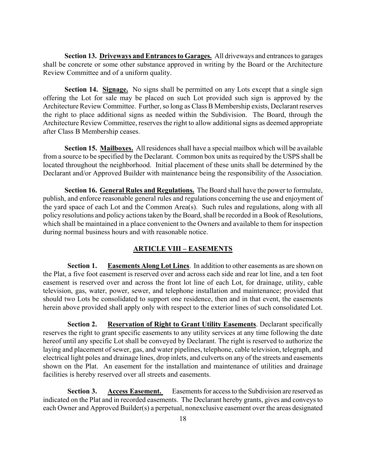**Section 13. Driveways and Entrances to Garages.** All driveways and entrances to garages shall be concrete or some other substance approved in writing by the Board or the Architecture Review Committee and of a uniform quality.

**Section 14. Signage.** No signs shall be permitted on any Lots except that a single sign offering the Lot for sale may be placed on such Lot provided such sign is approved by the Architecture Review Committee. Further, so long as Class B Membership exists, Declarant reserves the right to place additional signs as needed within the Subdivision. The Board, through the Architecture Review Committee, reserves the right to allow additional signs as deemed appropriate after Class B Membership ceases.

**Section 15. Mailboxes.** All residences shall have a special mailbox which will be available from a source to be specified by the Declarant. Common box units as required by the USPS shall be located throughout the neighborhood. Initial placement of these units shall be determined by the Declarant and/or Approved Builder with maintenance being the responsibility of the Association.

**Section 16. General Rules and Regulations.** The Board shall have the power to formulate, publish, and enforce reasonable general rules and regulations concerning the use and enjoyment of the yard space of each Lot and the Common Area(s). Such rules and regulations, along with all policy resolutions and policy actions taken by the Board, shall be recorded in a Book of Resolutions, which shall be maintained in a place convenient to the Owners and available to them for inspection during normal business hours and with reasonable notice.

#### **ARTICLE VIII – EASEMENTS**

**Section 1. Easements Along Lot Lines**. In addition to other easements as are shown on the Plat, a five foot easement is reserved over and across each side and rear lot line, and a ten foot easement is reserved over and across the front lot line of each Lot, for drainage, utility, cable television, gas, water, power, sewer, and telephone installation and maintenance; provided that should two Lots be consolidated to support one residence, then and in that event, the easements herein above provided shall apply only with respect to the exterior lines of such consolidated Lot.

**Section 2. Reservation of Right to Grant Utility Easements**. Declarant specifically reserves the right to grant specific easements to any utility services at any time following the date hereof until any specific Lot shall be conveyed by Declarant. The right is reserved to authorize the laying and placement of sewer, gas, and water pipelines, telephone, cable television, telegraph, and electrical light poles and drainage lines, drop inlets, and culverts on any of the streets and easements shown on the Plat. An easement for the installation and maintenance of utilities and drainage facilities is hereby reserved over all streets and easements.

**Section 3.** Access Easement. Easements for access to the Subdivision are reserved as indicated on the Plat and in recorded easements. The Declarant hereby grants, gives and conveys to each Owner and Approved Builder(s) a perpetual, nonexclusive easement over the areas designated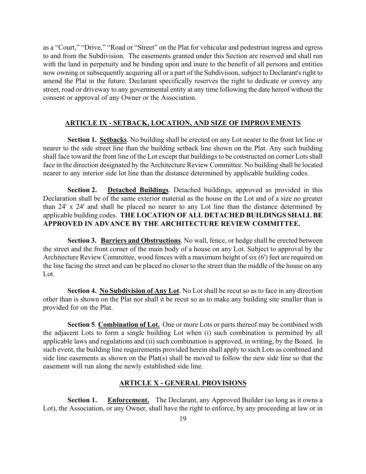as a "Court," "Drive," "Road or "Street" on the Plat for vehicular and pedestrian ingress and egress to and from the Subdivision. The easements granted under this Section are reserved and shall run with the land in perpetuity and be binding upon and inure to the benefit of all persons and entities now owning or subsequently acquiring all or a part of the Subdivision, subject to Declarant's right to amend the Plat in the future. Declarant specifically reserves the right to dedicate or convey any street, road or driveway to any governmental entity at any time following the date hereof without the consent or approval of any Owner or the Association.

# **ARTICLE IX - SETBACK, LOCATION, AND SIZE OF IMPROVEMENTS**

**Section 1. Setbacks**. No building shall be erected on any Lot nearer to the front lot line or nearer to the side street line than the building setback line shown on the Plat. Any such building shall face toward the front line of the Lot except that buildings to be constructed on corner Lots shall face in the direction designated by the Architecture Review Committee. No building shall be located nearer to any interior side lot line than the distance determined by applicable building codes.

**Section 2. Detached Buildings**. Detached buildings, approved as provided in this Declaration shall be of the same exterior material as the house on the Lot and of a size no greater than 24' x 24' and shall be placed no nearer to any Lot line than the distance determined by applicable building codes. **THE LOCATION OF ALL DETACHED BUILDINGS SHALL BE APPROVED IN ADVANCE BY THE ARCHITECTURE REVIEW COMMITTEE.** 

 **Section 3. Barriers and Obstructions**. No wall, fence, or hedge shall be erected between the street and the front corner of the main body of a house on any Lot. Subject to approval by the Architecture Review Committee, wood fences with a maximum height of six (6') feet are required on the line facing the street and can be placed no closer to the street than the middle of the house on any Lot.

**Section 4. No Subdivision of Any Lot**. No Lot shall be recut so as to face in any direction other than is shown on the Plat nor shall it be recut so as to make any building site smaller than is provided for on the Plat.

**Section 5**. **Combination of Lot.** One or more Lots or parts thereof may be combined with the adjacent Lots to form a single building Lot when (i) such combination is permitted by all applicable laws and regulations and (ii) such combination is approved, in writing, by the Board. In such event, the building line requirements provided herein shall apply to such Lots as combined and side line easements as shown on the Plat(s) shall be moved to follow the new side line so that the easement will run along the newly established side line.

# **ARTICLE X - GENERAL PROVISIONS**

**Section 1. Enforcement.** The Declarant, any Approved Builder (so long as it owns a Lot), the Association, or any Owner, shall have the right to enforce, by any proceeding at law or in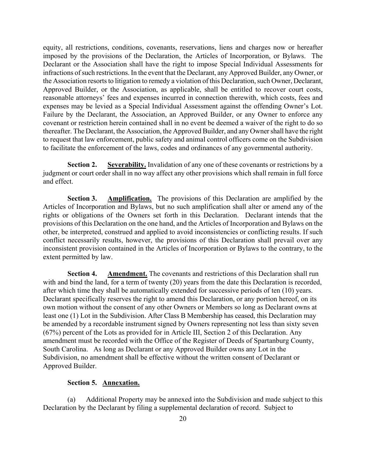equity, all restrictions, conditions, covenants, reservations, liens and charges now or hereafter imposed by the provisions of the Declaration, the Articles of Incorporation, or Bylaws. The Declarant or the Association shall have the right to impose Special Individual Assessments for infractions of such restrictions. In the event that the Declarant, any Approved Builder, any Owner, or the Association resorts to litigation to remedy a violation of this Declaration, such Owner, Declarant, Approved Builder, or the Association, as applicable, shall be entitled to recover court costs, reasonable attorneys' fees and expenses incurred in connection therewith, which costs, fees and expenses may be levied as a Special Individual Assessment against the offending Owner's Lot. Failure by the Declarant, the Association, an Approved Builder, or any Owner to enforce any covenant or restriction herein contained shall in no event be deemed a waiver of the right to do so thereafter. The Declarant, the Association, the Approved Builder, and any Owner shall have the right to request that law enforcement, public safety and animal control officers come on the Subdivision to facilitate the enforcement of the laws, codes and ordinances of any governmental authority.

**Section 2. Severability.** Invalidation of any one of these covenants or restrictions by a judgment or court order shall in no way affect any other provisions which shall remain in full force and effect.

**Section 3. Amplification.** The provisions of this Declaration are amplified by the Articles of Incorporation and Bylaws, but no such amplification shall alter or amend any of the rights or obligations of the Owners set forth in this Declaration. Declarant intends that the provisions of this Declaration on the one hand, and the Articles of Incorporation and Bylaws on the other, be interpreted, construed and applied to avoid inconsistencies or conflicting results. If such conflict necessarily results, however, the provisions of this Declaration shall prevail over any inconsistent provision contained in the Articles of Incorporation or Bylaws to the contrary, to the extent permitted by law.

**Section 4. Amendment.** The covenants and restrictions of this Declaration shall run with and bind the land, for a term of twenty (20) years from the date this Declaration is recorded, after which time they shall be automatically extended for successive periods of ten (10) years. Declarant specifically reserves the right to amend this Declaration, or any portion hereof, on its own motion without the consent of any other Owners or Members so long as Declarant owns at least one (1) Lot in the Subdivision. After Class B Membership has ceased, this Declaration may be amended by a recordable instrument signed by Owners representing not less than sixty seven (67%) percent of the Lots as provided for in Article III, Section 2 of this Declaration. Any amendment must be recorded with the Office of the Register of Deeds of Spartanburg County, South Carolina. As long as Declarant or any Approved Builder owns any Lot in the Subdivision, no amendment shall be effective without the written consent of Declarant or Approved Builder.

### **Section 5. Annexation.**

(a) Additional Property may be annexed into the Subdivision and made subject to this Declaration by the Declarant by filing a supplemental declaration of record. Subject to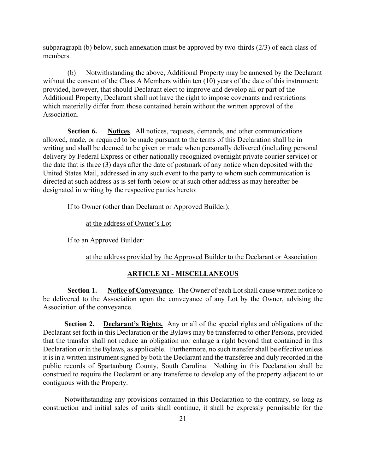subparagraph (b) below, such annexation must be approved by two-thirds (2/3) of each class of members.

(b) Notwithstanding the above, Additional Property may be annexed by the Declarant without the consent of the Class A Members within ten (10) years of the date of this instrument; provided, however, that should Declarant elect to improve and develop all or part of the Additional Property, Declarant shall not have the right to impose covenants and restrictions which materially differ from those contained herein without the written approval of the Association.

**Section 6.** Notices. All notices, requests, demands, and other communications allowed, made, or required to be made pursuant to the terms of this Declaration shall be in writing and shall be deemed to be given or made when personally delivered (including personal delivery by Federal Express or other nationally recognized overnight private courier service) or the date that is three (3) days after the date of postmark of any notice when deposited with the United States Mail, addressed in any such event to the party to whom such communication is directed at such address as is set forth below or at such other address as may hereafter be designated in writing by the respective parties hereto:

If to Owner (other than Declarant or Approved Builder):

at the address of Owner's Lot

If to an Approved Builder:

at the address provided by the Approved Builder to the Declarant or Association

#### **ARTICLE XI - MISCELLANEOUS**

**Section 1. Notice of Conveyance**. The Owner of each Lot shall cause written notice to be delivered to the Association upon the conveyance of any Lot by the Owner, advising the Association of the conveyance.

**Section 2.** Declarant's Rights. Any or all of the special rights and obligations of the Declarant set forth in this Declaration or the Bylaws may be transferred to other Persons, provided that the transfer shall not reduce an obligation nor enlarge a right beyond that contained in this Declaration or in the Bylaws, as applicable. Furthermore, no such transfer shall be effective unless it is in a written instrument signed by both the Declarant and the transferee and duly recorded in the public records of Spartanburg County, South Carolina. Nothing in this Declaration shall be construed to require the Declarant or any transferee to develop any of the property adjacent to or contiguous with the Property.

Notwithstanding any provisions contained in this Declaration to the contrary, so long as construction and initial sales of units shall continue, it shall be expressly permissible for the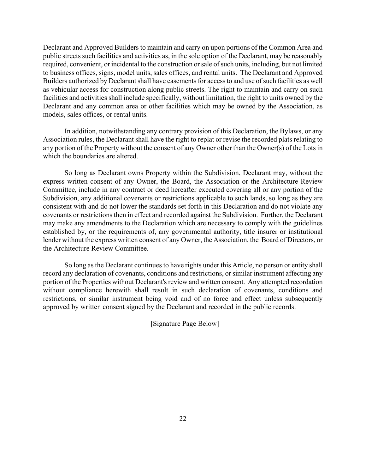Declarant and Approved Builders to maintain and carry on upon portions of the Common Area and public streets such facilities and activities as, in the sole option of the Declarant, may be reasonably required, convenient, or incidental to the construction or sale of such units, including, but not limited to business offices, signs, model units, sales offices, and rental units. The Declarant and Approved Builders authorized by Declarant shall have easements for access to and use of such facilities as well as vehicular access for construction along public streets. The right to maintain and carry on such facilities and activities shall include specifically, without limitation, the right to units owned by the Declarant and any common area or other facilities which may be owned by the Association, as models, sales offices, or rental units.

In addition, notwithstanding any contrary provision of this Declaration, the Bylaws, or any Association rules, the Declarant shall have the right to replat or revise the recorded plats relating to any portion of the Property without the consent of any Owner other than the Owner(s) of the Lots in which the boundaries are altered.

So long as Declarant owns Property within the Subdivision, Declarant may, without the express written consent of any Owner, the Board, the Association or the Architecture Review Committee, include in any contract or deed hereafter executed covering all or any portion of the Subdivision, any additional covenants or restrictions applicable to such lands, so long as they are consistent with and do not lower the standards set forth in this Declaration and do not violate any covenants or restrictions then in effect and recorded against the Subdivision. Further, the Declarant may make any amendments to the Declaration which are necessary to comply with the guidelines established by, or the requirements of, any governmental authority, title insurer or institutional lender without the express written consent of any Owner, the Association, the Board of Directors, or the Architecture Review Committee.

So long as the Declarant continues to have rights under this Article, no person or entity shall record any declaration of covenants, conditions and restrictions, or similar instrument affecting any portion of the Properties without Declarant's review and written consent. Any attempted recordation without compliance herewith shall result in such declaration of covenants, conditions and restrictions, or similar instrument being void and of no force and effect unless subsequently approved by written consent signed by the Declarant and recorded in the public records.

[Signature Page Below]